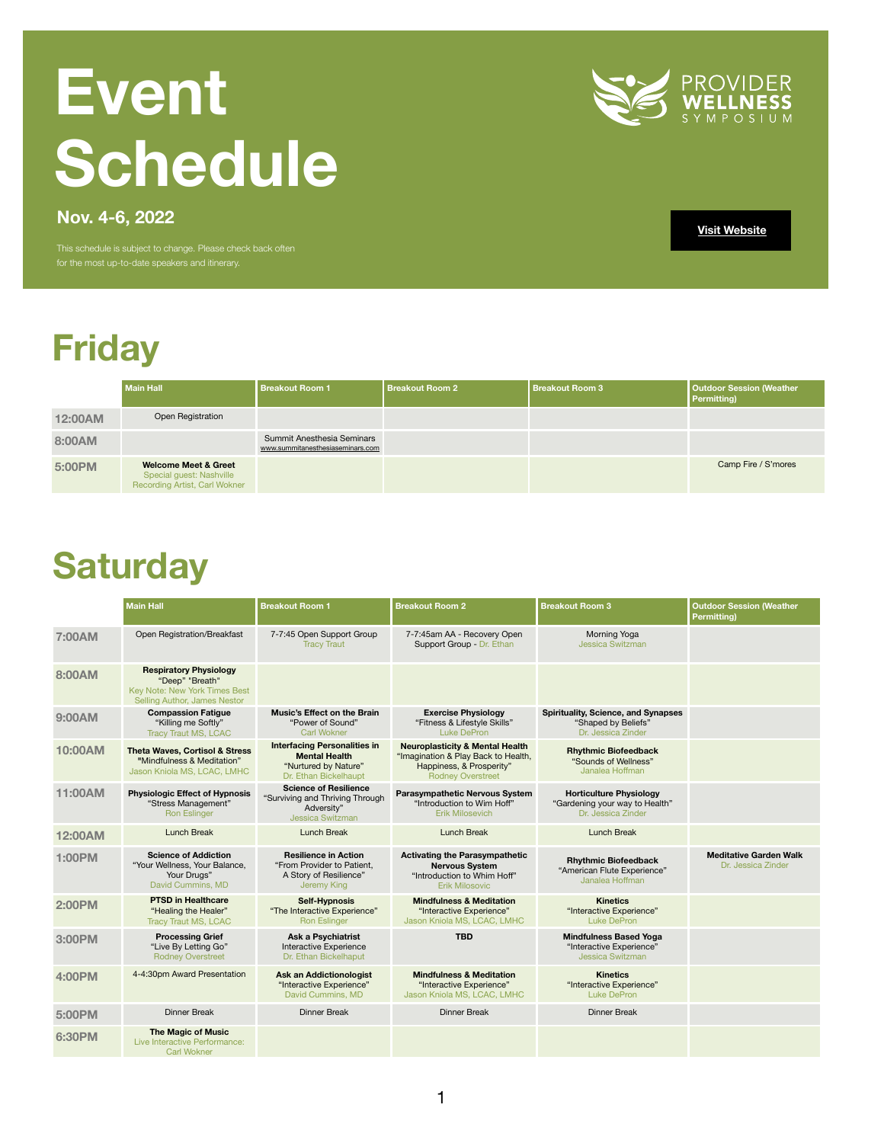# **Friday**

|                | <b>Main Hall</b>                                                                                    | <b>Breakout Room 1</b>                                                | <b>Breakout Room 2</b> | <b>Breakout Room 3</b> | <b>Outdoor Session (Weather</b><br><b>Permitting</b> ) |
|----------------|-----------------------------------------------------------------------------------------------------|-----------------------------------------------------------------------|------------------------|------------------------|--------------------------------------------------------|
| <b>12:00AM</b> | <b>Open Registration</b>                                                                            |                                                                       |                        |                        |                                                        |
| 8:00AM         |                                                                                                     | <b>Summit Anesthesia Seminars</b><br>www.summitanesthesiaseminars.com |                        |                        |                                                        |
| 5:00PM         | <b>Welcome Meet &amp; Greet</b><br><b>Special guest: Nashville</b><br>Recording Artist, Carl Wokner |                                                                       |                        |                        | Camp Fire / S'mores                                    |

# **Event Schedule**



This schedule is subject to change. Please check back often for the most up-to-date speakers and itinerary.

**[Visit Website](https://www.providersymposium.com/)**

### **Saturday**

|                | <b>Main Hall</b>                                                                                                                | <b>Breakout Room 1</b>                                                                                       | <b>Breakout Room 2</b>                                                                                                                    | <b>Breakout Room 3</b>                                                                  | <b>Outdoor Session (Weather</b><br><b>Permitting)</b> |
|----------------|---------------------------------------------------------------------------------------------------------------------------------|--------------------------------------------------------------------------------------------------------------|-------------------------------------------------------------------------------------------------------------------------------------------|-----------------------------------------------------------------------------------------|-------------------------------------------------------|
| 7:00AM         | Open Registration/Breakfast                                                                                                     | 7-7:45 Open Support Group<br><b>Tracy Traut</b>                                                              | 7-7:45am AA - Recovery Open<br>Support Group - Dr. Ethan                                                                                  | Morning Yoga<br><b>Jessica Switzman</b>                                                 |                                                       |
| 8:00AM         | <b>Respiratory Physiology</b><br>"Deep" "Breath"<br><b>Key Note: New York Times Best</b><br><b>Selling Author, James Nestor</b> |                                                                                                              |                                                                                                                                           |                                                                                         |                                                       |
| 9:00AM         | <b>Compassion Fatigue</b><br>"Killing me Softly"<br><b>Tracy Traut MS, LCAC</b>                                                 | <b>Music's Effect on the Brain</b><br>"Power of Sound"<br><b>Carl Wokner</b>                                 | <b>Exercise Physiology</b><br>"Fitness & Lifestyle Skills"<br><b>Luke DePron</b>                                                          | <b>Spirituality, Science, and Synapses</b><br>"Shaped by Beliefs"<br>Dr. Jessica Zinder |                                                       |
| 10:00AM        | <b>Theta Waves, Cortisol &amp; Stress</b><br>"Mindfulness & Meditation"<br>Jason Kniola MS, LCAC, LMHC                          | <b>Interfacing Personalities in</b><br><b>Mental Health</b><br>"Nurtured by Nature"<br>Dr. Ethan Bickelhaupt | <b>Neuroplasticity &amp; Mental Health</b><br>"Imagination & Play Back to Health,<br>Happiness, & Prosperity"<br><b>Rodney Overstreet</b> | <b>Rhythmic Biofeedback</b><br>"Sounds of Wellness"<br>Janalea Hoffman                  |                                                       |
| 11:00AM        | <b>Physiologic Effect of Hypnosis</b><br>"Stress Management"<br><b>Ron Eslinger</b>                                             | <b>Science of Resilience</b><br>"Surviving and Thriving Through<br>Adversity"<br><b>Jessica Switzman</b>     | <b>Parasympathetic Nervous System</b><br>"Introduction to Wim Hoff"<br><b>Erik Milosevich</b>                                             | <b>Horticulture Physiology</b><br>"Gardening your way to Health"<br>Dr. Jessica Zinder  |                                                       |
| <b>12:00AM</b> | <b>Lunch Break</b>                                                                                                              | <b>Lunch Break</b>                                                                                           | <b>Lunch Break</b>                                                                                                                        | <b>Lunch Break</b>                                                                      |                                                       |
| <b>1:00PM</b>  | <b>Science of Addiction</b><br>"Your Wellness, Your Balance,<br>Your Drugs"<br>David Cummins, MD                                | <b>Resilience in Action</b><br>"From Provider to Patient,<br>A Story of Resilience"<br><b>Jeremy King</b>    | <b>Activating the Parasympathetic</b><br><b>Nervous System</b><br>"Introduction to Whim Hoff"<br><b>Erik Milosovic</b>                    | <b>Rhythmic Biofeedback</b><br>"American Flute Experience"<br>Janalea Hoffman           | <b>Meditative Garden Walk</b><br>Dr. Jessica Zinder   |
| <b>2:00PM</b>  | <b>PTSD in Healthcare</b><br>"Healing the Healer"<br><b>Tracy Traut MS, LCAC</b>                                                | <b>Self-Hypnosis</b><br>"The Interactive Experience"<br><b>Ron Eslinger</b>                                  | <b>Mindfulness &amp; Meditation</b><br>"Interactive Experience"<br>Jason Kniola MS, LCAC, LMHC                                            | <b>Kinetics</b><br>"Interactive Experience"<br><b>Luke DePron</b>                       |                                                       |
| 3:00PM         | <b>Processing Grief</b><br>"Live By Letting Go"<br><b>Rodney Overstreet</b>                                                     | <b>Ask a Psychiatrist</b><br>Interactive Experience<br>Dr. Ethan Bickelhaput                                 | <b>TBD</b>                                                                                                                                | <b>Mindfulness Based Yoga</b><br>"Interactive Experience"<br><b>Jessica Switzman</b>    |                                                       |
| 4:00PM         | 4-4:30pm Award Presentation                                                                                                     | <b>Ask an Addictionologist</b><br>"Interactive Experience"<br>David Cummins, MD                              | <b>Mindfulness &amp; Meditation</b><br>"Interactive Experience"<br>Jason Kniola MS, LCAC, LMHC                                            | <b>Kinetics</b><br>"Interactive Experience"<br><b>Luke DePron</b>                       |                                                       |
| 5:00PM         | <b>Dinner Break</b>                                                                                                             | <b>Dinner Break</b>                                                                                          | <b>Dinner Break</b>                                                                                                                       | <b>Dinner Break</b>                                                                     |                                                       |
| <b>6:30PM</b>  | <b>The Magic of Music</b><br>Live Interactive Performance:<br><b>Carl Wokner</b>                                                |                                                                                                              |                                                                                                                                           |                                                                                         |                                                       |

**Nov. 4-6, 2022**

1